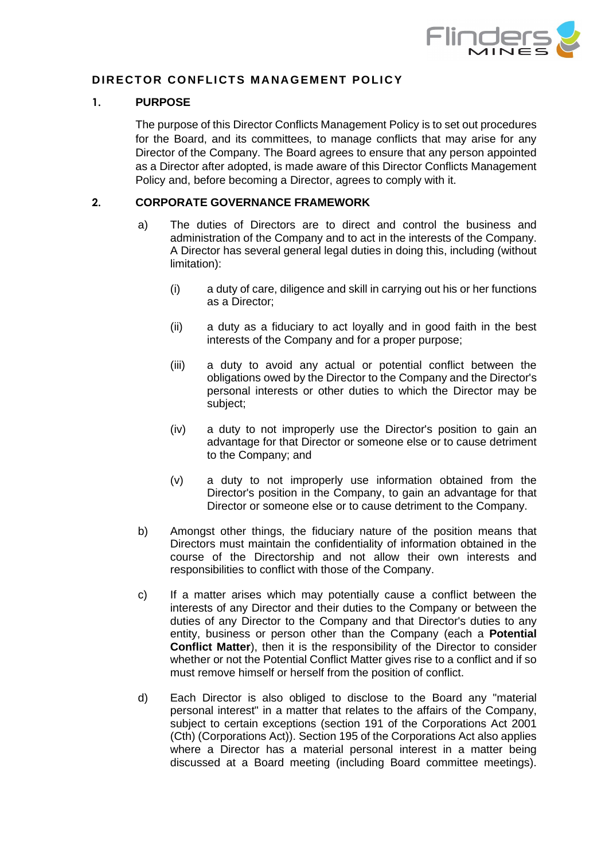

# **DIRECTOR CONFLICTS MANAGEMENT POLICY**

### **1. PURPOSE**

The purpose of this Director Conflicts Management Policy is to set out procedures for the Board, and its committees, to manage conflicts that may arise for any Director of the Company. The Board agrees to ensure that any person appointed as a Director after adopted, is made aware of this Director Conflicts Management Policy and, before becoming a Director, agrees to comply with it.

## **2. CORPORATE GOVERNANCE FRAMEWORK**

- a) The duties of Directors are to direct and control the business and administration of the Company and to act in the interests of the Company. A Director has several general legal duties in doing this, including (without limitation):
	- (i) a duty of care, diligence and skill in carrying out his or her functions as a Director;
	- (ii) a duty as a fiduciary to act loyally and in good faith in the best interests of the Company and for a proper purpose;
	- (iii) a duty to avoid any actual or potential conflict between the obligations owed by the Director to the Company and the Director's personal interests or other duties to which the Director may be subject;
	- (iv) a duty to not improperly use the Director's position to gain an advantage for that Director or someone else or to cause detriment to the Company; and
	- (v) a duty to not improperly use information obtained from the Director's position in the Company, to gain an advantage for that Director or someone else or to cause detriment to the Company.
- b) Amongst other things, the fiduciary nature of the position means that Directors must maintain the confidentiality of information obtained in the course of the Directorship and not allow their own interests and responsibilities to conflict with those of the Company.
- c) If a matter arises which may potentially cause a conflict between the interests of any Director and their duties to the Company or between the duties of any Director to the Company and that Director's duties to any entity, business or person other than the Company (each a **Potential Conflict Matter**), then it is the responsibility of the Director to consider whether or not the Potential Conflict Matter gives rise to a conflict and if so must remove himself or herself from the position of conflict.
- d) Each Director is also obliged to disclose to the Board any "material personal interest" in a matter that relates to the affairs of the Company, subject to certain exceptions (section 191 of the Corporations Act 2001 (Cth) (Corporations Act)). Section 195 of the Corporations Act also applies where a Director has a material personal interest in a matter being discussed at a Board meeting (including Board committee meetings).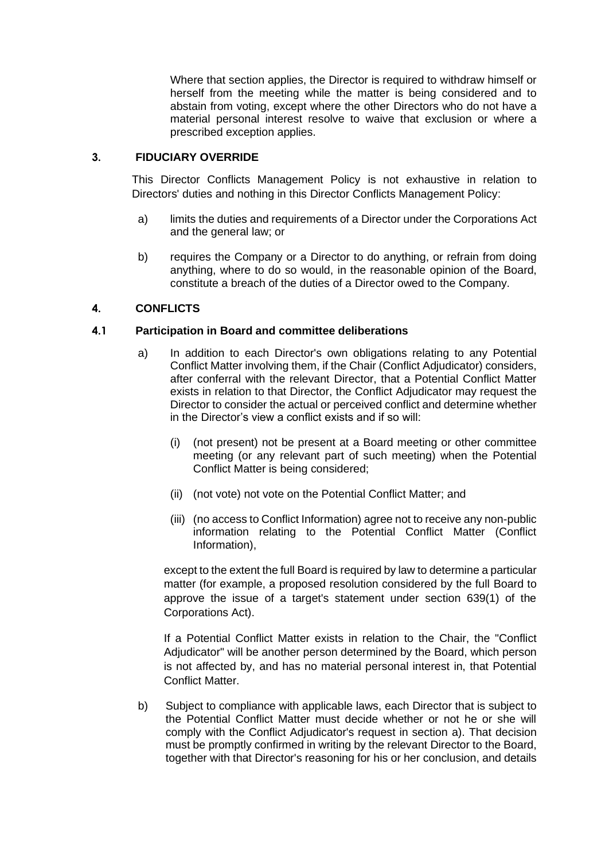Where that section applies, the Director is required to withdraw himself or herself from the meeting while the matter is being considered and to abstain from voting, except where the other Directors who do not have a material personal interest resolve to waive that exclusion or where a prescribed exception applies.

## **3. FIDUCIARY OVERRIDE**

This Director Conflicts Management Policy is not exhaustive in relation to Directors' duties and nothing in this Director Conflicts Management Policy:

- a) limits the duties and requirements of a Director under the Corporations Act and the general law; or
- b) requires the Company or a Director to do anything, or refrain from doing anything, where to do so would, in the reasonable opinion of the Board, constitute a breach of the duties of a Director owed to the Company.

## **4. CONFLICTS**

### <span id="page-1-0"></span>**4.1 Participation in Board and committee deliberations**

- a) In addition to each Director's own obligations relating to any Potential Conflict Matter involving them, if the Chair (Conflict Adjudicator) considers, after conferral with the relevant Director, that a Potential Conflict Matter exists in relation to that Director, the Conflict Adjudicator may request the Director to consider the actual or perceived conflict and determine whether in the Director's view a conflict exists and if so will:
	- (i) (not present) not be present at a Board meeting or other committee meeting (or any relevant part of such meeting) when the Potential Conflict Matter is being considered;
	- (ii) (not vote) not vote on the Potential Conflict Matter; and
	- (iii) (no access to Conflict Information) agree not to receive any non-public information relating to the Potential Conflict Matter (Conflict Information),

except to the extent the full Board is required by law to determine a particular matter (for example, a proposed resolution considered by the full Board to approve the issue of a target's statement under section 639(1) of the Corporations Act).

If a Potential Conflict Matter exists in relation to the Chair, the "Conflict Adjudicator" will be another person determined by the Board, which person is not affected by, and has no material personal interest in, that Potential Conflict Matter.

<span id="page-1-1"></span>b) Subject to compliance with applicable laws, each Director that is subject to the Potential Conflict Matter must decide whether or not he or she will comply with the Conflict Adjudicator's request in section [a\).](#page-1-0) That decision must be promptly confirmed in writing by the relevant Director to the Board, together with that Director's reasoning for his or her conclusion, and details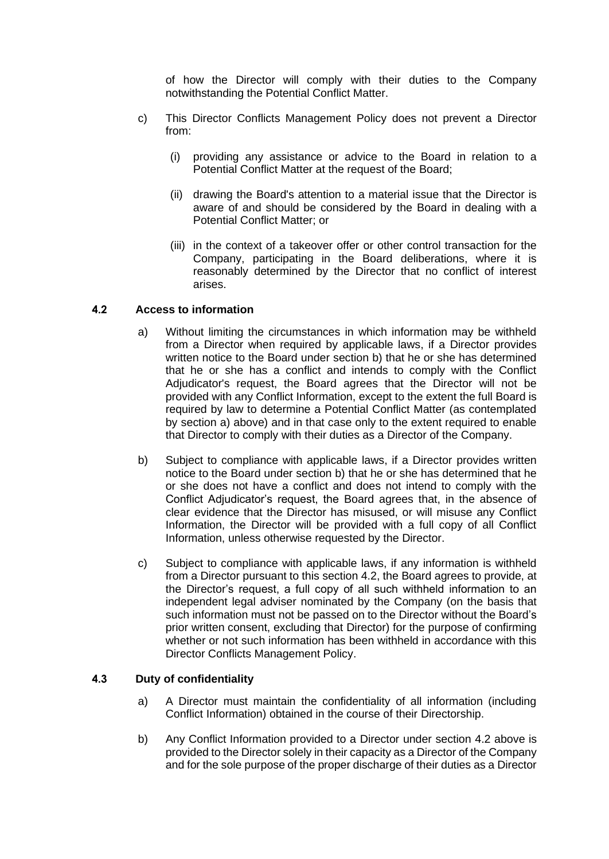of how the Director will comply with their duties to the Company notwithstanding the Potential Conflict Matter.

- c) This Director Conflicts Management Policy does not prevent a Director from:
	- (i) providing any assistance or advice to the Board in relation to a Potential Conflict Matter at the request of the Board;
	- (ii) drawing the Board's attention to a material issue that the Director is aware of and should be considered by the Board in dealing with a Potential Conflict Matter; or
	- (iii) in the context of a takeover offer or other control transaction for the Company, participating in the Board deliberations, where it is reasonably determined by the Director that no conflict of interest arises.

## <span id="page-2-0"></span>**4.2 Access to information**

- a) Without limiting the circumstances in which information may be withheld from a Director when required by applicable laws, if a Director provides written notice to the Board under section [b\)](#page-1-1) that he or she has determined that he or she has a conflict and intends to comply with the Conflict Adjudicator's request, the Board agrees that the Director will not be provided with any Conflict Information, except to the extent the full Board is required by law to determine a Potential Conflict Matter (as contemplated by section [a\)](#page-1-0) above) and in that case only to the extent required to enable that Director to comply with their duties as a Director of the Company.
- b) Subject to compliance with applicable laws, if a Director provides written notice to the Board under section [b\)](#page-1-1) that he or she has determined that he or she does not have a conflict and does not intend to comply with the Conflict Adjudicator's request, the Board agrees that, in the absence of clear evidence that the Director has misused, or will misuse any Conflict Information, the Director will be provided with a full copy of all Conflict Information, unless otherwise requested by the Director.
- c) Subject to compliance with applicable laws, if any information is withheld from a Director pursuant to this section [4.2,](#page-2-0) the Board agrees to provide, at the Director's request, a full copy of all such withheld information to an independent legal adviser nominated by the Company (on the basis that such information must not be passed on to the Director without the Board's prior written consent, excluding that Director) for the purpose of confirming whether or not such information has been withheld in accordance with this Director Conflicts Management Policy.

#### **4.3 Duty of confidentiality**

- a) A Director must maintain the confidentiality of all information (including Conflict Information) obtained in the course of their Directorship.
- b) Any Conflict Information provided to a Director under section [4.2](#page-2-0) above is provided to the Director solely in their capacity as a Director of the Company and for the sole purpose of the proper discharge of their duties as a Director